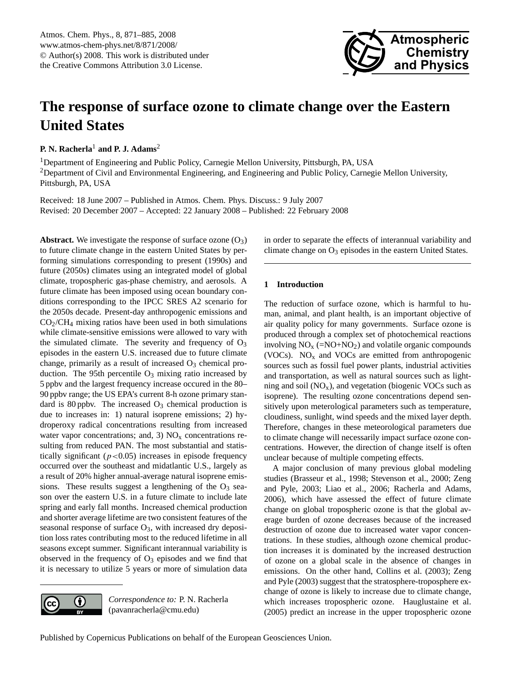

# <span id="page-0-0"></span>**The response of surface ozone to climate change over the Eastern United States**

**P. N. Racherla**<sup>1</sup> **and P. J. Adams**<sup>2</sup>

<sup>1</sup>Department of Engineering and Public Policy, Carnegie Mellon University, Pittsburgh, PA, USA <sup>2</sup>Department of Civil and Environmental Engineering, and Engineering and Public Policy, Carnegie Mellon University, Pittsburgh, PA, USA

Received: 18 June 2007 – Published in Atmos. Chem. Phys. Discuss.: 9 July 2007 Revised: 20 December 2007 – Accepted: 22 January 2008 – Published: 22 February 2008

**Abstract.** We investigate the response of surface ozone  $(O_3)$ to future climate change in the eastern United States by performing simulations corresponding to present (1990s) and future (2050s) climates using an integrated model of global climate, tropospheric gas-phase chemistry, and aerosols. A future climate has been imposed using ocean boundary conditions corresponding to the IPCC SRES A2 scenario for the 2050s decade. Present-day anthropogenic emissions and  $CO<sub>2</sub>/CH<sub>4</sub>$  mixing ratios have been used in both simulations while climate-sensitive emissions were allowed to vary with the simulated climate. The severity and frequency of  $O_3$ episodes in the eastern U.S. increased due to future climate change, primarily as a result of increased  $O_3$  chemical production. The 95th percentile  $O_3$  mixing ratio increased by 5 ppbv and the largest frequency increase occured in the 80– 90 ppbv range; the US EPA's current 8-h ozone primary standard is 80 ppbv. The increased  $O_3$  chemical production is due to increases in: 1) natural isoprene emissions; 2) hydroperoxy radical concentrations resulting from increased water vapor concentrations; and, 3)  $NO<sub>x</sub>$  concentrations resulting from reduced PAN. The most substantial and statistically significant ( $p < 0.05$ ) increases in episode frequency occurred over the southeast and midatlantic U.S., largely as a result of 20% higher annual-average natural isoprene emissions. These results suggest a lengthening of the  $O_3$  season over the eastern U.S. in a future climate to include late spring and early fall months. Increased chemical production and shorter average lifetime are two consistent features of the seasonal response of surface  $O_3$ , with increased dry deposition loss rates contributing most to the reduced lifetime in all seasons except summer. Significant interannual variability is observed in the frequency of  $O_3$  episodes and we find that it is necessary to utilize 5 years or more of simulation data



*Correspondence to:* P. N. Racherla (pavanracherla@cmu.edu)

in order to separate the effects of interannual variability and climate change on  $O_3$  episodes in the eastern United States.

# **1 Introduction**

The reduction of surface ozone, which is harmful to human, animal, and plant health, is an important objective of air quality policy for many governments. Surface ozone is produced through a complex set of photochemical reactions involving  $NO<sub>x</sub>$  (=NO+NO<sub>2</sub>) and volatile organic compounds (VOCs).  $NO<sub>x</sub>$  and VOCs are emitted from anthropogenic sources such as fossil fuel power plants, industrial activities and transportation, as well as natural sources such as lightning and soil  $(NO_x)$ , and vegetation (biogenic VOCs such as isoprene). The resulting ozone concentrations depend sensitively upon meterological parameters such as temperature, cloudiness, sunlight, wind speeds and the mixed layer depth. Therefore, changes in these meteorological parameters due to climate change will necessarily impact surface ozone concentrations. However, the direction of change itself is often unclear because of multiple competing effects.

A major conclusion of many previous global modeling studies [\(Brasseur et al.,](#page-13-0) [1998;](#page-13-0) [Stevenson et al.,](#page-14-0) [2000;](#page-14-0) [Zeng](#page-14-1) [and Pyle,](#page-14-1) [2003;](#page-14-1) [Liao et al.,](#page-14-2) [2006;](#page-14-2) [Racherla and Adams,](#page-14-3) [2006\)](#page-14-3), which have assessed the effect of future climate change on global tropospheric ozone is that the global average burden of ozone decreases because of the increased destruction of ozone due to increased water vapor concentrations. In these studies, although ozone chemical production increases it is dominated by the increased destruction of ozone on a global scale in the absence of changes in emissions. On the other hand, [Collins et al.](#page-13-1) [\(2003\)](#page-13-1); [Zeng](#page-14-1) [and Pyle](#page-14-1) [\(2003\)](#page-14-1) suggest that the stratosphere-troposphere exchange of ozone is likely to increase due to climate change, which increases tropospheric ozone. [Hauglustaine et al.](#page-14-4) [\(2005\)](#page-14-4) predict an increase in the upper tropospheric ozone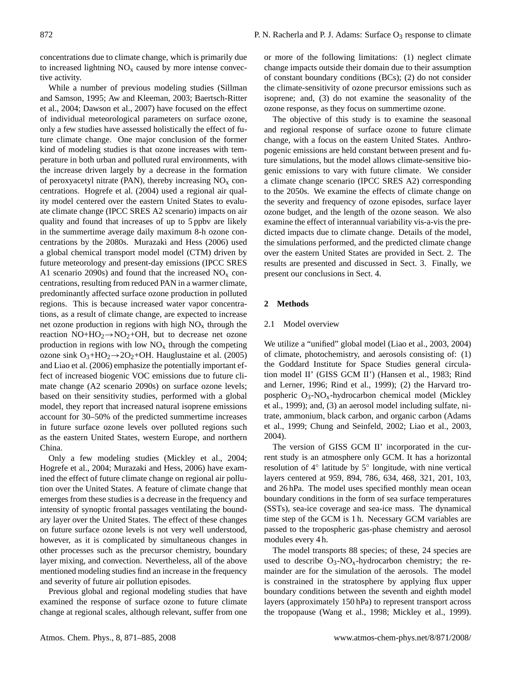concentrations due to climate change, which is primarily due to increased lightning  $NO<sub>x</sub>$  caused by more intense convective activity.

While a number of previous modeling studies [\(Sillman](#page-14-5) [and Samson,](#page-14-5) [1995;](#page-14-5) [Aw and Kleeman,](#page-13-2) [2003;](#page-13-2) [Baertsch-Ritter](#page-13-3) [et al.,](#page-13-3) [2004;](#page-13-3) [Dawson et al.,](#page-13-4) [2007\)](#page-13-4) have focused on the effect of individual meteorological parameters on surface ozone, only a few studies have assessed holistically the effect of future climate change. One major conclusion of the former kind of modeling studies is that ozone increases with temperature in both urban and polluted rural environments, with the increase driven largely by a decrease in the formation of peroxyacetyl nitrate (PAN), thereby increasing  $NO<sub>x</sub>$  concentrations. [Hogrefe et al.](#page-14-6) [\(2004\)](#page-14-6) used a regional air quality model centered over the eastern United States to evaluate climate change (IPCC SRES A2 scenario) impacts on air quality and found that increases of up to 5 ppbv are likely in the summertime average daily maximum 8-h ozone concentrations by the 2080s. [Murazaki and Hess](#page-14-7) [\(2006\)](#page-14-7) used a global chemical transport model model (CTM) driven by future meteorology and present-day emissions (IPCC SRES A1 scenario 2090s) and found that the increased  $NO<sub>x</sub>$  concentrations, resulting from reduced PAN in a warmer climate, predominantly affected surface ozone production in polluted regions. This is because increased water vapor concentrations, as a result of climate change, are expected to increase net ozone production in regions with high  $NO<sub>x</sub>$  through the reaction  $NO+HO_2 \rightarrow NO_2+OH$ , but to decrease net ozone production in regions with low  $NO<sub>x</sub>$  through the competing ozone sink  $O_3+HO_2 \rightarrow 2O_2+OH$ . [Hauglustaine et al.](#page-14-4) [\(2005\)](#page-14-4) and [Liao et al.](#page-14-2) [\(2006\)](#page-14-2) emphasize the potentially important effect of increased biogenic VOC emissions due to future climate change (A2 scenario 2090s) on surface ozone levels; based on their sensitivity studies, performed with a global model, they report that increased natural isoprene emissions account for 30–50% of the predicted summertime increases in future surface ozone levels over polluted regions such as the eastern United States, western Europe, and northern China.

Only a few modeling studies [\(Mickley et al.,](#page-14-8) [2004;](#page-14-8) [Hogrefe et al.,](#page-14-6) [2004;](#page-14-6) [Murazaki and Hess,](#page-14-7) [2006\)](#page-14-7) have examined the effect of future climate change on regional air pollution over the United States. A feature of climate change that emerges from these studies is a decrease in the frequency and intensity of synoptic frontal passages ventilating the boundary layer over the United States. The effect of these changes on future surface ozone levels is not very well understood, however, as it is complicated by simultaneous changes in other processes such as the precursor chemistry, boundary layer mixing, and convection. Nevertheless, all of the above mentioned modeling studies find an increase in the frequency and severity of future air pollution episodes.

Previous global and regional modeling studies that have examined the response of surface ozone to future climate change at regional scales, although relevant, suffer from one or more of the following limitations: (1) neglect climate change impacts outside their domain due to their assumption of constant boundary conditions (BCs); (2) do not consider the climate-sensitivity of ozone precursor emissions such as isoprene; and, (3) do not examine the seasonality of the ozone response, as they focus on summertime ozone.

The objective of this study is to examine the seasonal and regional response of surface ozone to future climate change, with a focus on the eastern United States. Anthropogenic emissions are held constant between present and future simulations, but the model allows climate-sensitive biogenic emissions to vary with future climate. We consider a climate change scenario (IPCC SRES A2) corresponding to the 2050s. We examine the effects of climate change on the severity and frequency of ozone episodes, surface layer ozone budget, and the length of the ozone season. We also examine the effect of interannual variability vis-a-vis the predicted impacts due to climate change. Details of the model, the simulations performed, and the predicted climate change over the eastern United States are provided in Sect. 2. The results are presented and discussed in Sect. 3. Finally, we present our conclusions in Sect. 4.

## **2 Methods**

#### 2.1 Model overview

We utilize a "unified" global model [\(Liao et al.,](#page-14-9) [2003,](#page-14-9) [2004\)](#page-14-10) of climate, photochemistry, and aerosols consisting of: (1) the Goddard Institute for Space Studies general circulation model II' (GISS GCM II') [\(Hansen et al.,](#page-14-11) [1983;](#page-14-11) [Rind](#page-14-12) [and Lerner,](#page-14-12) [1996;](#page-14-12) [Rind et al.,](#page-14-13) [1999\)](#page-14-13); (2) the Harvard tropospheric  $O_3$ -NO<sub>x</sub>-hydrocarbon chemical model [\(Mickley](#page-14-14) [et al.,](#page-14-14) [1999\)](#page-14-14); and, (3) an aerosol model including sulfate, nitrate, ammonium, black carbon, and organic carbon [\(Adams](#page-13-5) [et al.,](#page-13-5) [1999;](#page-13-5) [Chung and Seinfeld,](#page-13-6) [2002;](#page-13-6) [Liao et al.,](#page-14-9) [2003,](#page-14-9) [2004\)](#page-14-10).

The version of GISS GCM II' incorporated in the current study is an atmosphere only GCM. It has a horizontal resolution of 4◦ latitude by 5◦ longitude, with nine vertical layers centered at 959, 894, 786, 634, 468, 321, 201, 103, and 26 hPa. The model uses specified monthly mean ocean boundary conditions in the form of sea surface temperatures (SSTs), sea-ice coverage and sea-ice mass. The dynamical time step of the GCM is 1 h. Necessary GCM variables are passed to the tropospheric gas-phase chemistry and aerosol modules every 4 h.

The model transports 88 species; of these, 24 species are used to describe  $O_3$ -N $O_x$ -hydrocarbon chemistry; the remainder are for the simulation of the aerosols. The model is constrained in the stratosphere by applying flux upper boundary conditions between the seventh and eighth model layers (approximately 150 hPa) to represent transport across the tropopause [\(Wang et al.,](#page-14-15) [1998;](#page-14-15) [Mickley et al.,](#page-14-14) [1999\)](#page-14-14).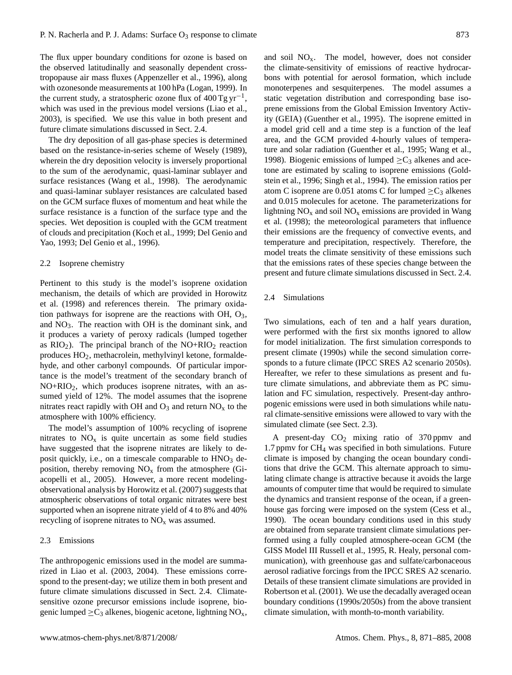The flux upper boundary conditions for ozone is based on the observed latitudinally and seasonally dependent crosstropopause air mass fluxes [\(Appenzeller et al.,](#page-13-7) [1996\)](#page-13-7), along with ozonesonde measurements at 100 hPa [\(Logan,](#page-14-16) [1999\)](#page-14-16). In the current study, a stratospheric ozone flux of  $400$  Tg yr<sup>-1</sup>, which was used in the previous model versions [\(Liao et al.,](#page-14-9) [2003\)](#page-14-9), is specified. We use this value in both present and future climate simulations discussed in Sect. 2.4.

The dry deposition of all gas-phase species is determined based on the resistance-in-series scheme of [Wesely](#page-14-17) [\(1989\)](#page-14-17), wherein the dry deposition velocity is inversely proportional to the sum of the aerodynamic, quasi-laminar sublayer and surface resistances [\(Wang et al.,](#page-14-15) [1998\)](#page-14-15). The aerodynamic and quasi-laminar sublayer resistances are calculated based on the GCM surface fluxes of momentum and heat while the surface resistance is a function of the surface type and the species. Wet deposition is coupled with the GCM treatment of clouds and precipitation [\(Koch et al.,](#page-14-18) [1999;](#page-14-18) [Del Genio and](#page-13-8) [Yao,](#page-13-8) [1993;](#page-13-8) [Del Genio et al.,](#page-13-9) [1996\)](#page-13-9).

#### 2.2 Isoprene chemistry

Pertinent to this study is the model's isoprene oxidation mechanism, the details of which are provided in [Horowitz](#page-14-19) [et al.](#page-14-19) [\(1998\)](#page-14-19) and references therein. The primary oxidation pathways for isoprene are the reactions with OH,  $O_3$ , and  $NO<sub>3</sub>$ . The reaction with OH is the dominant sink, and it produces a variety of peroxy radicals (lumped together as  $RIO<sub>2</sub>$ ). The principal branch of the NO+RIO<sub>2</sub> reaction produces HO2, methacrolein, methylvinyl ketone, formaldehyde, and other carbonyl compounds. Of particular importance is the model's treatment of the secondary branch of  $NO+RIO<sub>2</sub>$ , which produces isoprene nitrates, with an assumed yield of 12%. The model assumes that the isoprene nitrates react rapidly with OH and  $O_3$  and return  $NO_x$  to the atmosphere with 100% efficiency.

The model's assumption of 100% recycling of isoprene nitrates to  $NO<sub>x</sub>$  is quite uncertain as some field studies have suggested that the isoprene nitrates are likely to deposit quickly, i.e., on a timescale comparable to  $HNO<sub>3</sub>$  deposition, thereby removing  $NO<sub>x</sub>$  from the atmosphere [\(Gi](#page-14-20)[acopelli et al.,](#page-14-20) [2005\)](#page-14-20). However, a more recent modelingobservational analysis by [Horowitz et al.](#page-14-21) [\(2007\)](#page-14-21) suggests that atmospheric observations of total organic nitrates were best supported when an isoprene nitrate yield of 4 to 8% and 40% recycling of isoprene nitrates to  $NO<sub>x</sub>$  was assumed.

#### 2.3 Emissions

The anthropogenic emissions used in the model are summarized in [Liao et al.](#page-14-9) [\(2003,](#page-14-9) [2004\)](#page-14-10). These emissions correspond to the present-day; we utilize them in both present and future climate simulations discussed in Sect. 2.4. Climatesensitive ozone precursor emissions include isoprene, biogenic lumped  $\geq C_3$  alkenes, biogenic acetone, lightning NO<sub>x</sub>, and soil  $NO<sub>x</sub>$ . The model, however, does not consider the climate-sensitivity of emissions of reactive hydrocarbons with potential for aerosol formation, which include monoterpenes and sesquiterpenes. The model assumes a static vegetation distribution and corresponding base isoprene emissions from the Global Emission Inventory Activity (GEIA) [\(Guenther et al.,](#page-14-22) [1995\)](#page-14-22). The isoprene emitted in a model grid cell and a time step is a function of the leaf area, and the GCM provided 4-hourly values of temperature and solar radiation [\(Guenther et al.,](#page-14-22) [1995;](#page-14-22) [Wang et al.,](#page-14-15) [1998\)](#page-14-15). Biogenic emissions of lumped  $\geq C_3$  alkenes and acetone are estimated by scaling to isoprene emissions [\(Gold](#page-14-23)[stein et al.,](#page-14-23) [1996;](#page-14-23) [Singh et al.,](#page-14-24) [1994\)](#page-14-24). The emission ratios per atom C isoprene are 0.051 atoms C for lumped  $>C_3$  alkenes and 0.015 molecules for acetone. The parameterizations for lightning  $NO<sub>x</sub>$  and soil  $NO<sub>x</sub>$  emissions are provided in [Wang](#page-14-15) [et al.](#page-14-15) [\(1998\)](#page-14-15); the meteorological parameters that influence their emissions are the frequency of convective events, and temperature and precipitation, respectively. Therefore, the model treats the climate sensitivity of these emissions such that the emissions rates of these species change between the present and future climate simulations discussed in Sect. 2.4.

## 2.4 Simulations

Two simulations, each of ten and a half years duration, were performed with the first six months ignored to allow for model initialization. The first simulation corresponds to present climate (1990s) while the second simulation corresponds to a future climate (IPCC SRES A2 scenario 2050s). Hereafter, we refer to these simulations as present and future climate simulations, and abbreviate them as PC simulation and FC simulation, respectively. Present-day anthropogenic emissions were used in both simulations while natural climate-sensitive emissions were allowed to vary with the simulated climate (see Sect. 2.3).

A present-day  $CO<sub>2</sub>$  mixing ratio of 370 ppmv and 1.7 ppmv for CH<sup>4</sup> was specified in both simulations. Future climate is imposed by changing the ocean boundary conditions that drive the GCM. This alternate approach to simulating climate change is attractive because it avoids the large amounts of computer time that would be required to simulate the dynamics and transient response of the ocean, if a greenhouse gas forcing were imposed on the system [\(Cess et al.,](#page-13-10) [1990\)](#page-13-10). The ocean boundary conditions used in this study are obtained from separate transient climate simulations performed using a fully coupled atmosphere-ocean GCM (the GISS Model III [Russell et al.,](#page-14-25) [1995,](#page-14-25) R. Healy, personal communication), with greenhouse gas and sulfate/carbonaceous aerosol radiative forcings from the IPCC SRES A2 scenario. Details of these transient climate simulations are provided in [Robertson et al.](#page-14-26) [\(2001\)](#page-14-26). We use the decadally averaged ocean boundary conditions (1990s/2050s) from the above transient climate simulation, with month-to-month variability.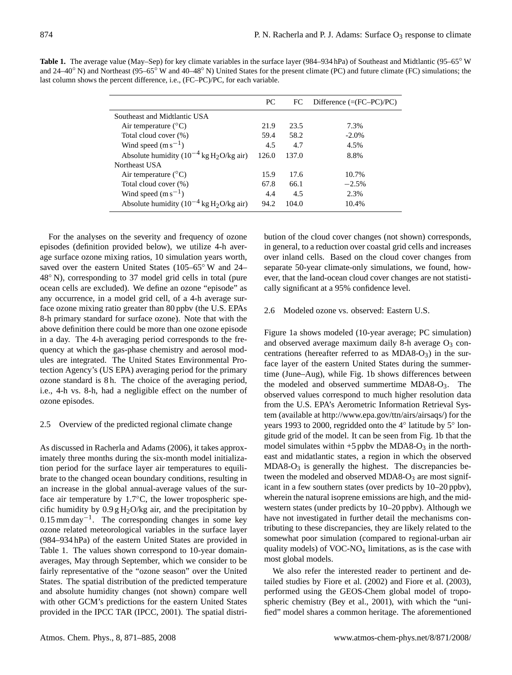|                                                          | PC    | FC.   | Difference $(=(FC-PC)/PC)$ |
|----------------------------------------------------------|-------|-------|----------------------------|
| Southeast and Midtlantic USA                             |       |       |                            |
| Air temperature $(^{\circ}C)$                            | 21.9  | 23.5  | 7.3%                       |
| Total cloud cover (%)                                    | 59.4  | 58.2  | $-2.0%$                    |
| Wind speed $(m s^{-1})$                                  | 4.5   | 4.7   | 4.5%                       |
| Absolute humidity $(10^{-4}$ kg H <sub>2</sub> O/kg air) | 126.0 | 137.0 | 8.8%                       |
| Northeast USA                                            |       |       |                            |
| Air temperature $(^{\circ}C)$                            | 15.9  | 17.6  | 10.7%                      |
| Total cloud cover (%)                                    | 67.8  | 66.1  | $-2.5%$                    |
| Wind speed $(m s^{-1})$                                  | 4.4   | 4.5   | 2.3%                       |
| Absolute humidity $(10^{-4}$ kg H <sub>2</sub> O/kg air) | 94.2  | 104.0 | 10.4%                      |
|                                                          |       |       |                            |

Table 1. The average value (May–Sep) for key climate variables in the surface layer (984–934 hPa) of Southeast and Midtlantic (95–65<sup>°</sup> W and 24–40<sup>°</sup> N) and Northeast (95–65<sup>°</sup> W and 40–48<sup>°</sup> N) United States for the present climate (PC) and future climate (FC) simulations; the last column shows the percent difference, i.e., (FC–PC)/PC, for each variable.

For the analyses on the severity and frequency of ozone episodes (definition provided below), we utilize 4-h average surface ozone mixing ratios, 10 simulation years worth, saved over the eastern United States (105–65<sup>°</sup> W and 24– 48◦ N), corresponding to 37 model grid cells in total (pure ocean cells are excluded). We define an ozone "episode" as any occurrence, in a model grid cell, of a 4-h average surface ozone mixing ratio greater than 80 ppbv (the U.S. EPAs 8-h primary standard for surface ozone). Note that with the above definition there could be more than one ozone episode in a day. The 4-h averaging period corresponds to the frequency at which the gas-phase chemistry and aerosol modules are integrated. The United States Environmental Protection Agency's (US EPA) averaging period for the primary ozone standard is 8 h. The choice of the averaging period, i.e., 4-h vs. 8-h, had a negligible effect on the number of ozone episodes.

## 2.5 Overview of the predicted regional climate change

As discussed in [Racherla and Adams](#page-14-3) [\(2006\)](#page-14-3), it takes approximately three months during the six-month model initialization period for the surface layer air temperatures to equilibrate to the changed ocean boundary conditions, resulting in an increase in the global annual-average values of the surface air temperature by  $1.7\textdegree C$ , the lower tropospheric specific humidity by  $0.9 g H<sub>2</sub>O/kg$  air, and the precipitation by 0.15 mm day−<sup>1</sup> . The corresponding changes in some key ozone related meteorological variables in the surface layer (984–934 hPa) of the eastern United States are provided in Table 1. The values shown correspond to 10-year domainaverages, May through September, which we consider to be fairly representative of the "ozone season" over the United States. The spatial distribution of the predicted temperature and absolute humidity changes (not shown) compare well with other GCM's predictions for the eastern United States provided in the IPCC TAR [\(IPCC,](#page-14-27) [2001\)](#page-14-27). The spatial distribution of the cloud cover changes (not shown) corresponds, in general, to a reduction over coastal grid cells and increases over inland cells. Based on the cloud cover changes from separate 50-year climate-only simulations, we found, however, that the land-ocean cloud cover changes are not statistically significant at a 95% confidence level.

# 2.6 Modeled ozone vs. observed: Eastern U.S.

Figure 1a shows modeled (10-year average; PC simulation) and observed average maximum daily 8-h average  $O_3$  concentrations (hereafter referred to as MDA8- $O_3$ ) in the surface layer of the eastern United States during the summertime (June–Aug), while Fig. 1b shows differences between the modeled and observed summertime MDA8- $O_3$ . The observed values correspond to much higher resolution data from the U.S. EPA's Aerometric Information Retrieval System (available at [http://www.epa.gov/ttn/airs/airsaqs/\)](http://www.epa.gov/ttn/airs/airsaqs/) for the years 1993 to 2000, regridded onto the 4° latitude by 5° longitude grid of the model. It can be seen from Fig. 1b that the model simulates within  $+5$  ppby the MDA8-O<sub>3</sub> in the northeast and midatlantic states, a region in which the observed  $MDA8-O<sub>3</sub>$  is generally the highest. The discrepancies between the modeled and observed MDA8- $O_3$  are most significant in a few southern states (over predicts by 10–20 ppbv), wherein the natural isoprene emissions are high, and the midwestern states (under predicts by 10–20 ppbv). Although we have not investigated in further detail the mechanisms contributing to these discrepancies, they are likely related to the somewhat poor simulation (compared to regional-urban air quality models) of  $VOC-NO<sub>x</sub>$  limitations, as is the case with most global models.

We also refer the interested reader to pertinent and detailed studies by [Fiore et al.](#page-13-11) [\(2002\)](#page-13-11) and [Fiore et al.](#page-13-12) [\(2003\)](#page-13-12), performed using the GEOS-Chem global model of tropospheric chemistry [\(Bey et al.,](#page-13-13) [2001\)](#page-13-13), with which the "unified" model shares a common heritage. The aforementioned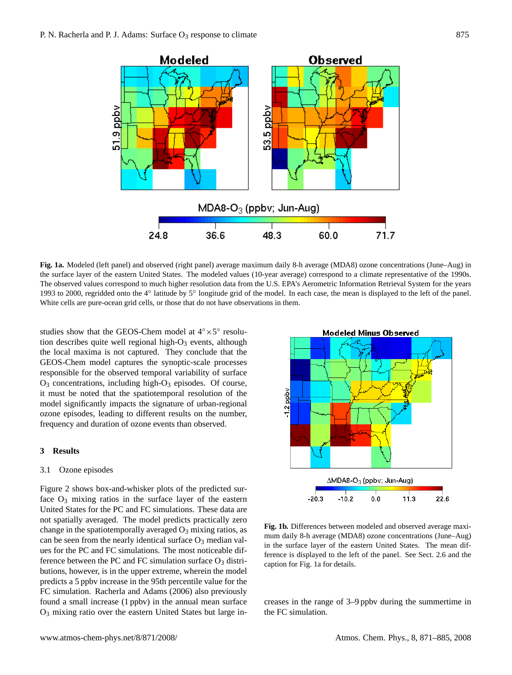

**Fig. 1a.** Modeled (left panel) and observed (right panel) average maximum daily 8-h average (MDA8) ozone concentrations (June–Aug) in the surface layer of the eastern United States. The modeled values (10-year average) correspond to a climate representative of the 1990s. The observed values correspond to much higher resolution data from the U.S. EPA's Aerometric Information Retrieval System for the years 1993 to 2000, regridded onto the 4° latitude by 5° longitude grid of the model. In each case, the mean is displayed to the left of the panel. White cells are pure-ocean grid cells, or those that do not have observations in them.

studies show that the GEOS-Chem model at  $4° \times 5°$  resolution describes quite well regional high- $O_3$  events, although the local maxima is not captured. They conclude that the GEOS-Chem model captures the synoptic-scale processes responsible for the observed temporal variability of surface O<sup>3</sup> concentrations, including high-O<sup>3</sup> episodes. Of course, it must be noted that the spatiotemporal resolution of the model significantly impacts the signature of urban-regional ozone episodes, leading to different results on the number, frequency and duration of ozone events than observed.

# **3 Results**

## 3.1 Ozone episodes

Figure 2 shows box-and-whisker plots of the predicted surface  $O_3$  mixing ratios in the surface layer of the eastern United States for the PC and FC simulations. These data are not spatially averaged. The model predicts practically zero change in the spatiotemporally averaged  $O_3$  mixing ratios, as can be seen from the nearly identical surface  $O_3$  median values for the PC and FC simulations. The most noticeable difference between the PC and FC simulation surface  $O_3$  distributions, however, is in the upper extreme, wherein the model predicts a 5 ppbv increase in the 95th percentile value for the FC simulation. [Racherla and Adams](#page-14-3) [\(2006\)](#page-14-3) also previously found a small increase (1 ppbv) in the annual mean surface O<sup>3</sup> mixing ratio over the eastern United States but large in-



**Fig. 1b.** Differences between modeled and observed average maximum daily 8-h average (MDA8) ozone concentrations (June–Aug) in the surface layer of the eastern United States. The mean difference is displayed to the left of the panel. See Sect. 2.6 and the caption for Fig. 1a for details.

creases in the range of 3–9 ppbv during the summertime in the FC simulation.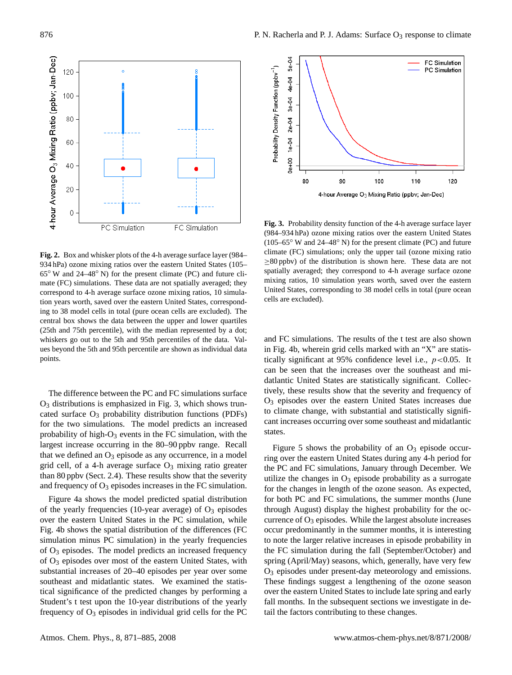

**Fig. 2.** Box and whisker plots of the 4-h average surface layer (984– 934 hPa) ozone mixing ratios over the eastern United States (105– 65◦ W and 24–48◦ N) for the present climate (PC) and future climate (FC) simulations. These data are not spatially averaged; they correspond to 4-h average surface ozone mixing ratios, 10 simulation years worth, saved over the eastern United States, corresponding to 38 model cells in total (pure ocean cells are excluded). The central box shows the data between the upper and lower quartiles (25th and 75th percentile), with the median represented by a dot; whiskers go out to the 5th and 95th percentiles of the data. Values beyond the 5th and 95th percentile are shown as individual data points.

The difference between the PC and FC simulations surface  $O<sub>3</sub>$  distributions is emphasized in Fig. 3, which shows truncated surface  $O_3$  probability distribution functions (PDFs) for the two simulations. The model predicts an increased probability of high- $O_3$  events in the FC simulation, with the largest increase occurring in the 80–90 ppbv range. Recall that we defined an  $O_3$  episode as any occurrence, in a model grid cell, of a 4-h average surface  $O_3$  mixing ratio greater than 80 ppbv (Sect. 2.4). These results show that the severity and frequency of  $O_3$  episodes increases in the FC simulation.

Figure 4a shows the model predicted spatial distribution of the yearly frequencies (10-year average) of  $O_3$  episodes over the eastern United States in the PC simulation, while Fig. 4b shows the spatial distribution of the differences (FC simulation minus PC simulation) in the yearly frequencies of O<sup>3</sup> episodes. The model predicts an increased frequency of O<sup>3</sup> episodes over most of the eastern United States, with substantial increases of 20–40 episodes per year over some southeast and midatlantic states. We examined the statistical significance of the predicted changes by performing a Student's t test upon the 10-year distributions of the yearly frequency of  $O_3$  episodes in individual grid cells for the PC



**Fig. 3.** Probability density function of the 4-h average surface layer (984–934 hPa) ozone mixing ratios over the eastern United States (105–65◦ W and 24–48◦ N) for the present climate (PC) and future climate (FC) simulations; only the upper tail (ozone mixing ratio  $\geq$ 80 ppbv) of the distribution is shown here. These data are not spatially averaged; they correspond to 4-h average surface ozone mixing ratios, 10 simulation years worth, saved over the eastern United States, corresponding to 38 model cells in total (pure ocean cells are excluded).

and FC simulations. The results of the t test are also shown in Fig. 4b, wherein grid cells marked with an "X" are statistically significant at 95% confidence level i.e.,  $p < 0.05$ . It can be seen that the increases over the southeast and midatlantic United States are statistically significant. Collectively, these results show that the severity and frequency of O<sup>3</sup> episodes over the eastern United States increases due to climate change, with substantial and statistically significant increases occurring over some southeast and midatlantic states.

Figure 5 shows the probability of an  $O_3$  episode occurring over the eastern United States during any 4-h period for the PC and FC simulations, January through December. We utilize the changes in  $O_3$  episode probability as a surrogate for the changes in length of the ozone season. As expected, for both PC and FC simulations, the summer months (June through August) display the highest probability for the occurrence of  $O_3$  episodes. While the largest absolute increases occur predominantly in the summer months, it is interesting to note the larger relative increases in episode probability in the FC simulation during the fall (September/October) and spring (April/May) seasons, which, generally, have very few O<sup>3</sup> episodes under present-day meteorology and emissions. These findings suggest a lengthening of the ozone season over the eastern United States to include late spring and early fall months. In the subsequent sections we investigate in detail the factors contributing to these changes.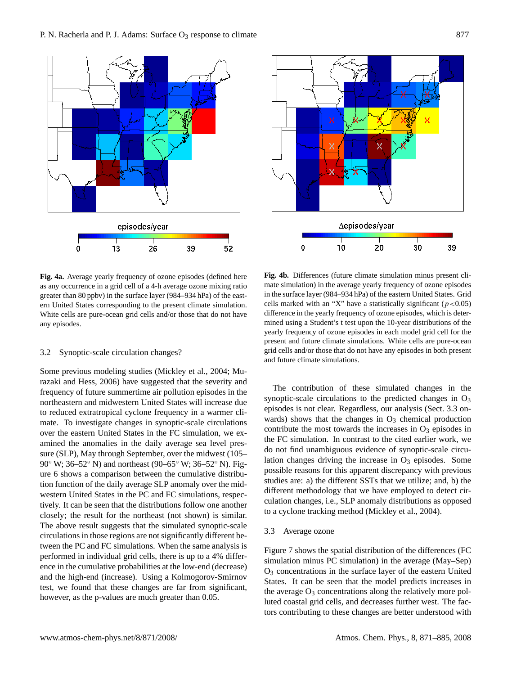



**Fig. 4a.** Average yearly frequency of ozone episodes (defined here as any occurrence in a grid cell of a 4-h average ozone mixing ratio greater than 80 ppbv) in the surface layer (984–934 hPa) of the eastern United States corresponding to the present climate simulation. White cells are pure-ocean grid cells and/or those that do not have any episodes.

## 3.2 Synoptic-scale circulation changes?

Some previous modeling studies [\(Mickley et al.,](#page-14-8) [2004;](#page-14-8) [Mu](#page-14-7)[razaki and Hess,](#page-14-7) [2006\)](#page-14-7) have suggested that the severity and frequency of future summertime air pollution episodes in the northeastern and midwestern United States will increase due to reduced extratropical cyclone frequency in a warmer climate. To investigate changes in synoptic-scale circulations over the eastern United States in the FC simulation, we examined the anomalies in the daily average sea level pressure (SLP), May through September, over the midwest (105– 90° W; 36–52° N) and northeast (90–65° W; 36–52° N). Figure 6 shows a comparison between the cumulative distribution function of the daily average SLP anomaly over the midwestern United States in the PC and FC simulations, respectively. It can be seen that the distributions follow one another closely; the result for the northeast (not shown) is similar. The above result suggests that the simulated synoptic-scale circulations in those regions are not significantly different between the PC and FC simulations. When the same analysis is performed in individual grid cells, there is up to a 4% difference in the cumulative probabilities at the low-end (decrease) and the high-end (increase). Using a Kolmogorov-Smirnov test, we found that these changes are far from significant, however, as the p-values are much greater than 0.05.

**Fig. 4b.** Differences (future climate simulation minus present climate simulation) in the average yearly frequency of ozone episodes in the surface layer (984–934 hPa) of the eastern United States. Grid cells marked with an "X" have a statistically significant ( $p < 0.05$ ) difference in the yearly frequency of ozone episodes, which is determined using a Student's t test upon the 10-year distributions of the yearly frequency of ozone episodes in each model grid cell for the present and future climate simulations. White cells are pure-ocean grid cells and/or those that do not have any episodes in both present and future climate simulations.

The contribution of these simulated changes in the synoptic-scale circulations to the predicted changes in  $O_3$ episodes is not clear. Regardless, our analysis (Sect. 3.3 onwards) shows that the changes in  $O_3$  chemical production contribute the most towards the increases in  $O_3$  episodes in the FC simulation. In contrast to the cited earlier work, we do not find unambiguous evidence of synoptic-scale circulation changes driving the increase in  $O<sub>3</sub>$  episodes. Some possible reasons for this apparent discrepancy with previous studies are: a) the different SSTs that we utilize; and, b) the different methodology that we have employed to detect circulation changes, i.e., SLP anomaly distributions as opposed to a cyclone tracking method [\(Mickley et al.,](#page-14-8) [2004\)](#page-14-8).

#### 3.3 Average ozone

Figure 7 shows the spatial distribution of the differences (FC simulation minus PC simulation) in the average (May–Sep)  $O<sub>3</sub>$  concentrations in the surface layer of the eastern United States. It can be seen that the model predicts increases in the average  $O_3$  concentrations along the relatively more polluted coastal grid cells, and decreases further west. The factors contributing to these changes are better understood with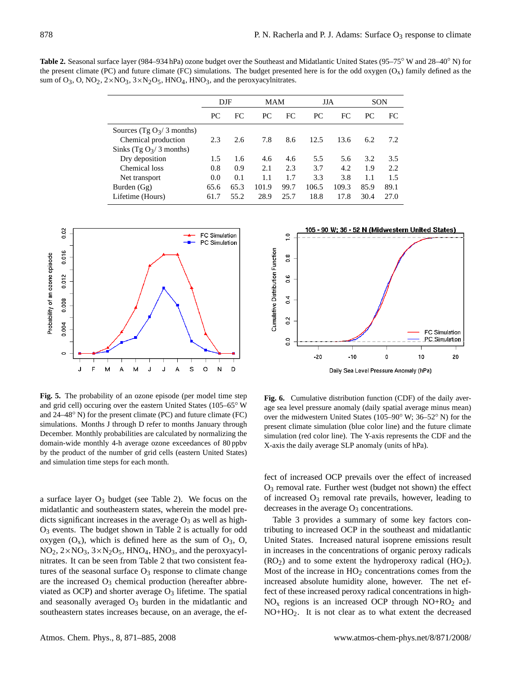**Table 2.** Seasonal surface layer (984–934 hPa) ozone budget over the Southeast and Midatlantic United States (95–75◦ W and 28–40◦ N) for the present climate (PC) and future climate (FC) simulations. The budget presented here is for the odd oxygen  $(O_x)$  family defined as the sum of  $O_3$ , O, NO<sub>2</sub>,  $2 \times NO_3$ ,  $3 \times N_2O_5$ , HNO<sub>4</sub>, HNO<sub>3</sub>, and the peroxyacylnitrates.

|                             | $_{\rm{DIF}}$ |      |       | <b>MAM</b> |       | JJA   |      | SON  |  |
|-----------------------------|---------------|------|-------|------------|-------|-------|------|------|--|
|                             | РC            | FC.  | PC.   | FC         | PC.   | FC    | PC.  | FC   |  |
| Sources (Tg $O_3/3$ months) |               |      |       |            |       |       |      |      |  |
| Chemical production         | 2.3           | 2.6  | 7.8   | 8.6        | 12.5  | 13.6  | 6.2  | 7.2  |  |
| Sinks (Tg $O_3/3$ months)   |               |      |       |            |       |       |      |      |  |
| Dry deposition              | 1.5           | 1.6  | 4.6   | 4.6        | 5.5   | 5.6   | 3.2  | 3.5  |  |
| Chemical loss               | 0.8           | 0.9  | 2.1   | 2.3        | 3.7   | 4.2   | 1.9  | 2.2  |  |
| Net transport               | 0.0           | 0.1  | 1.1   | 1.7        | 3.3   | 3.8   | 1.1  | 1.5  |  |
| Burden $(Gg)$               | 65.6          | 65.3 | 101.9 | 99.7       | 106.5 | 109.3 | 85.9 | 89.1 |  |
| Lifetime (Hours)            | 61.7          | 55.2 | 28.9  | 25.7       | 18.8  | 17.8  | 30.4 | 27.0 |  |



**Fig. 5.** The probability of an ozone episode (per model time step and grid cell) occuring over the eastern United States (105–65◦ W and 24–48◦ N) for the present climate (PC) and future climate (FC) simulations. Months J through D refer to months January through December. Monthly probabilities are calculated by normalizing the domain-wide monthly 4-h average ozone exceedances of 80 ppbv by the product of the number of grid cells (eastern United States) and simulation time steps for each month.

a surface layer  $O_3$  budget (see Table 2). We focus on the midatlantic and southeastern states, wherein the model predicts significant increases in the average  $O_3$  as well as high- $O<sub>3</sub>$  events. The budget shown in Table 2 is actually for odd oxygen  $(O_x)$ , which is defined here as the sum of  $O_3$ ,  $O$ ,  $NO<sub>2</sub>, 2 \times NO<sub>3</sub>, 3 \times N<sub>2</sub>O<sub>5</sub>$ , HNO<sub>4</sub>, HNO<sub>3</sub>, and the peroxyacylnitrates. It can be seen from Table 2 that two consistent features of the seasonal surface  $O_3$  response to climate change are the increased  $O_3$  chemical production (hereafter abbreviated as OCP) and shorter average  $O_3$  lifetime. The spatial and seasonally averaged  $O_3$  burden in the midatlantic and southeastern states increases because, on an average, the ef-



**Fig. 6.** Cumulative distribution function (CDF) of the daily average sea level pressure anomaly (daily spatial average minus mean) over the midwestern United States (105–90◦ W; 36–52◦ N) for the present climate simulation (blue color line) and the future climate simulation (red color line). The Y-axis represents the CDF and the X-axis the daily average SLP anomaly (units of hPa).

fect of increased OCP prevails over the effect of increased  $O<sub>3</sub>$  removal rate. Further west (budget not shown) the effect of increased  $O_3$  removal rate prevails, however, leading to decreases in the average  $O_3$  concentrations.

Table 3 provides a summary of some key factors contributing to increased OCP in the southeast and midatlantic United States. Increased natural isoprene emissions result in increases in the concentrations of organic peroxy radicals  $(RO<sub>2</sub>)$  and to some extent the hydroperoxy radical  $(HO<sub>2</sub>)$ . Most of the increase in  $HO<sub>2</sub>$  concentrations comes from the increased absolute humidity alone, however. The net effect of these increased peroxy radical concentrations in high- $NO<sub>x</sub>$  regions is an increased OCP through  $NO+RO<sub>2</sub>$  and NO+HO2. It is not clear as to what extent the decreased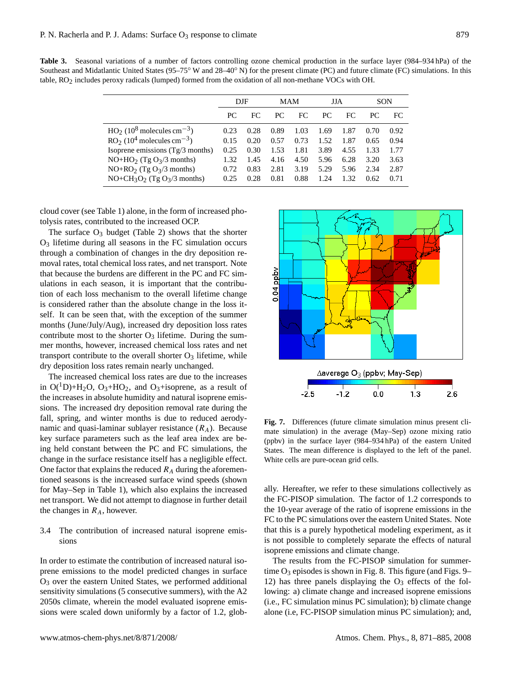**Table 3.** Seasonal variations of a number of factors controlling ozone chemical production in the surface layer (984–934 hPa) of the Southeast and Midatlantic United States (95–75◦ W and 28–40◦ N) for the present climate (PC) and future climate (FC) simulations. In this table, RO2 includes peroxy radicals (lumped) formed from the oxidation of all non-methane VOCs with OH.

|                                                      | DJF  |      | MAM  |      | JJA  |      | SON  |      |
|------------------------------------------------------|------|------|------|------|------|------|------|------|
|                                                      | PC.  | FC   | PC.  | FC.  | PC.  | FC   | PC   | FC.  |
| $HO_2$ (10 <sup>8</sup> molecules cm <sup>-3</sup> ) | 0.23 | 0.28 | 0.89 | 1.03 | 1.69 | 1.87 | 0.70 | 0.92 |
| $RO2 (104 molecules cm-3)$                           | 0.15 | 0.20 | 0.57 | 0.73 | 1.52 | 1.87 | 0.65 | 0.94 |
| Isoprene emissions (Tg/3 months)                     | 0.25 | 0.30 | 1.53 | 1.81 | 3.89 | 4.55 | 1.33 | 1.77 |
| $NO+HO2$ (Tg O <sub>3</sub> /3 months)               | 1.32 | 1.45 | 4.16 | 4.50 | 5.96 | 6.28 | 3.20 | 3.63 |
| $NO+RO2$ (Tg $O3/3$ months)                          | 0.72 | 0.83 | 2.81 | 3.19 | 5.29 | 5.96 | 2.34 | 2.87 |
| $NO+CH_3O_2$ (Tg $O_3/3$ months)                     | 0.25 | 0.28 | 0.81 | 0.88 | 1.24 | 1.32 | 0.62 | 0.71 |

cloud cover (see Table 1) alone, in the form of increased photolysis rates, contributed to the increased OCP.

The surface  $O_3$  budget (Table 2) shows that the shorter  $O<sub>3</sub>$  lifetime during all seasons in the FC simulation occurs through a combination of changes in the dry deposition removal rates, total chemical loss rates, and net transport. Note that because the burdens are different in the PC and FC simulations in each season, it is important that the contribution of each loss mechanism to the overall lifetime change is considered rather than the absolute change in the loss itself. It can be seen that, with the exception of the summer months (June/July/Aug), increased dry deposition loss rates contribute most to the shorter  $O_3$  lifetime. During the summer months, however, increased chemical loss rates and net transport contribute to the overall shorter  $O_3$  lifetime, while dry deposition loss rates remain nearly unchanged.

The increased chemical loss rates are due to the increases in  $O(^1D)+H_2O$ ,  $O_3+HO_2$ , and  $O_3+$ isoprene, as a result of the increases in absolute humidity and natural isoprene emissions. The increased dry deposition removal rate during the fall, spring, and winter months is due to reduced aerodynamic and quasi-laminar sublayer resistance  $(R_A)$ . Because key surface parameters such as the leaf area index are being held constant between the PC and FC simulations, the change in the surface resistance itself has a negligible effect. One factor that explains the reduced  $R_A$  during the aforementioned seasons is the increased surface wind speeds (shown for May–Sep in Table 1), which also explains the increased net transport. We did not attempt to diagnose in further detail the changes in  $R_A$ , however.

# 3.4 The contribution of increased natural isoprene emissions

In order to estimate the contribution of increased natural isoprene emissions to the model predicted changes in surface O<sup>3</sup> over the eastern United States, we performed additional sensitivity simulations (5 consecutive summers), with the A2 2050s climate, wherein the model evaluated isoprene emissions were scaled down uniformly by a factor of 1.2, glob-



**Fig. 7.** Differences (future climate simulation minus present climate simulation) in the average (May–Sep) ozone mixing ratio (ppbv) in the surface layer (984–934 hPa) of the eastern United States. The mean difference is displayed to the left of the panel. White cells are pure-ocean grid cells.

ally. Hereafter, we refer to these simulations collectively as the FC-PISOP simulation. The factor of 1.2 corresponds to the 10-year average of the ratio of isoprene emissions in the FC to the PC simulations over the eastern United States. Note that this is a purely hypothetical modeling experiment, as it is not possible to completely separate the effects of natural isoprene emissions and climate change.

The results from the FC-PISOP simulation for summertime  $O_3$  episodes is shown in Fig. 8. This figure (and Figs. 9– 12) has three panels displaying the  $O_3$  effects of the following: a) climate change and increased isoprene emissions (i.e., FC simulation minus PC simulation); b) climate change alone (i.e, FC-PISOP simulation minus PC simulation); and,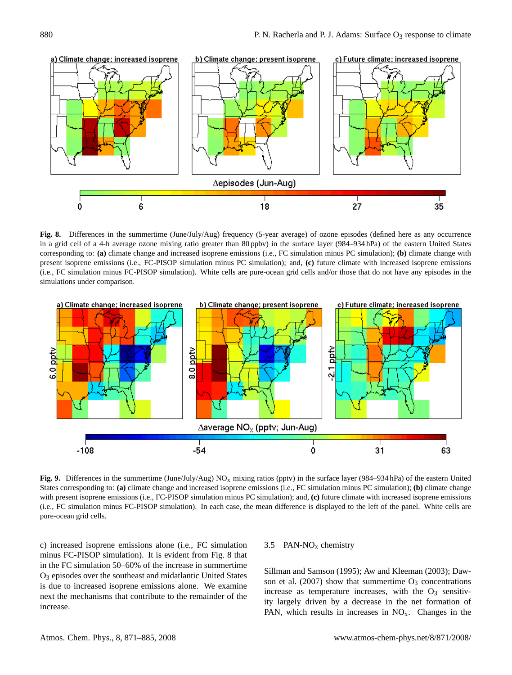

**Fig. 8.** Differences in the summertime (June/July/Aug) frequency (5-year average) of ozone episodes (defined here as any occurrence in a grid cell of a 4-h average ozone mixing ratio greater than 80 ppbv) in the surface layer (984–934 hPa) of the eastern United States corresponding to: **(a)** climate change and increased isoprene emissions (i.e., FC simulation minus PC simulation); **(b)** climate change with present isoprene emissions (i.e., FC-PISOP simulation minus PC simulation); and, **(c)** future climate with increased isoprene emissions (i.e., FC simulation minus FC-PISOP simulation). White cells are pure-ocean grid cells and/or those that do not have any episodes in the simulations under comparison.



**Fig. 9.** Differences in the summertime (June/July/Aug) NO<sub>x</sub> mixing ratios (pptv) in the surface layer (984–934 hPa) of the eastern United States corresponding to: **(a)** climate change and increased isoprene emissions (i.e., FC simulation minus PC simulation); **(b)** climate change with present isoprene emissions (i.e., FC-PISOP simulation minus PC simulation); and, **(c)** future climate with increased isoprene emissions (i.e., FC simulation minus FC-PISOP simulation). In each case, the mean difference is displayed to the left of the panel. White cells are pure-ocean grid cells.

c) increased isoprene emissions alone (i.e., FC simulation minus FC-PISOP simulation). It is evident from Fig. 8 that in the FC simulation 50–60% of the increase in summertime O<sup>3</sup> episodes over the southeast and midatlantic United States is due to increased isoprene emissions alone. We examine next the mechanisms that contribute to the remainder of the increase.

## 3.5 PAN-NO<sup>x</sup> chemistry

[Sillman and Samson](#page-14-5) [\(1995\)](#page-14-5); [Aw and Kleeman](#page-13-2) [\(2003\)](#page-13-2); [Daw](#page-13-4)[son et al.](#page-13-4) [\(2007\)](#page-13-4) show that summertime  $O_3$  concentrations increase as temperature increases, with the  $O<sub>3</sub>$  sensitivity largely driven by a decrease in the net formation of PAN, which results in increases in  $NO<sub>x</sub>$ . Changes in the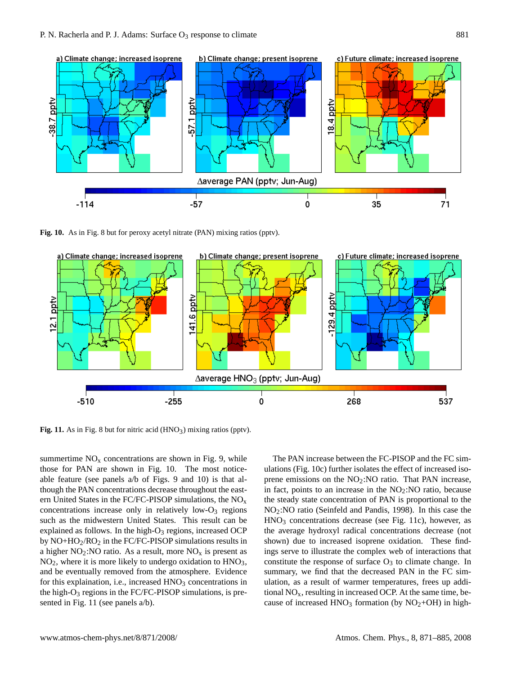

**Fig. 10.** As in Fig. 8 but for peroxy acetyl nitrate (PAN) mixing ratios (pptv).



Fig. 11. As in Fig. 8 but for nitric acid (HNO<sub>3</sub>) mixing ratios (pptv).

summertime  $NO<sub>x</sub>$  concentrations are shown in Fig. 9, while those for PAN are shown in Fig. 10. The most noticeable feature (see panels a/b of Figs. 9 and 10) is that although the PAN concentrations decrease throughout the eastern United States in the FC/FC-PISOP simulations, the  $NO<sub>x</sub>$ concentrations increase only in relatively low- $O_3$  regions such as the midwestern United States. This result can be explained as follows. In the high- $O_3$  regions, increased OCP by  $NO+HO_2/RO_2$  in the FC/FC-PISOP simulations results in a higher  $NO<sub>2</sub>:NO$  ratio. As a result, more  $NO<sub>x</sub>$  is present as  $NO<sub>2</sub>$ , where it is more likely to undergo oxidation to  $HNO<sub>3</sub>$ , and be eventually removed from the atmosphere. Evidence for this explaination, i.e., increased  $HNO<sub>3</sub>$  concentrations in the high- $O_3$  regions in the FC/FC-PISOP simulations, is presented in Fig. 11 (see panels  $a/b$ ).

The PAN increase between the FC-PISOP and the FC simulations (Fig. 10c) further isolates the effect of increased isoprene emissions on the  $NO<sub>2</sub>:NO$  ratio. That PAN increase, in fact, points to an increase in the  $NO<sub>2</sub>:NO$  ratio, because the steady state concentration of PAN is proportional to the NO2:NO ratio [\(Seinfeld and Pandis,](#page-14-28) [1998\)](#page-14-28). In this case the HNO<sup>3</sup> concentrations decrease (see Fig. 11c), however, as the average hydroxyl radical concentrations decrease (not shown) due to increased isoprene oxidation. These findings serve to illustrate the complex web of interactions that constitute the response of surface  $O_3$  to climate change. In summary, we find that the decreased PAN in the FC simulation, as a result of warmer temperatures, frees up additional  $NO<sub>x</sub>$ , resulting in increased OCP. At the same time, because of increased  $HNO<sub>3</sub>$  formation (by  $NO<sub>2</sub>+OH$ ) in high-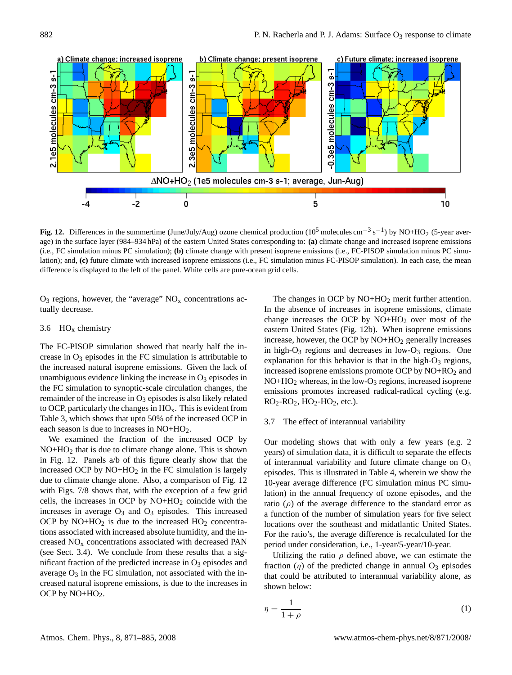![](_page_11_Figure_1.jpeg)

**Fig. 12.** Differences in the summertime (June/July/Aug) ozone chemical production ( $10^5$  molecules cm<sup>-3</sup> s<sup>-1</sup>) by NO+HO<sub>2</sub> (5-year average) in the surface layer (984–934 hPa) of the eastern United States corresponding to: **(a)** climate change and increased isoprene emissions (i.e., FC simulation minus PC simulation); **(b)** climate change with present isoprene emissions (i.e., FC-PISOP simulation minus PC simulation); and, **(c)** future climate with increased isoprene emissions (i.e., FC simulation minus FC-PISOP simulation). In each case, the mean difference is displayed to the left of the panel. White cells are pure-ocean grid cells.

 $O_3$  regions, however, the "average"  $NO<sub>x</sub>$  concentrations actually decrease.

#### 3.6  $HO<sub>x</sub>$  chemistry

The FC-PISOP simulation showed that nearly half the increase in  $O_3$  episodes in the FC simulation is attributable to the increased natural isoprene emissions. Given the lack of unambiguous evidence linking the increase in  $O_3$  episodes in the FC simulation to synoptic-scale circulation changes, the remainder of the increase in  $O_3$  episodes is also likely related to OCP, particularly the changes in  $HO<sub>x</sub>$ . This is evident from Table 3, which shows that upto 50% of the increased OCP in each season is due to increases in NO+HO<sub>2</sub>.

We examined the fraction of the increased OCP by NO+HO<sup>2</sup> that is due to climate change alone. This is shown in Fig. 12. Panels a/b of this figure clearly show that the increased OCP by  $NO+HO<sub>2</sub>$  in the FC simulation is largely due to climate change alone. Also, a comparison of Fig. 12 with Figs. 7/8 shows that, with the exception of a few grid cells, the increases in OCP by  $NO+HO<sub>2</sub>$  coincide with the increases in average  $O_3$  and  $O_3$  episodes. This increased OCP by  $NO+HO<sub>2</sub>$  is due to the increased  $HO<sub>2</sub>$  concentrations associated with increased absolute humidity, and the increased  $NO<sub>x</sub>$  concentrations associated with decreased PAN (see Sect. 3.4). We conclude from these results that a significant fraction of the predicted increase in  $O_3$  episodes and average  $O_3$  in the FC simulation, not associated with the increased natural isoprene emissions, is due to the increases in OCP by  $NO+HO<sub>2</sub>$ .

The changes in OCP by  $NO+HO<sub>2</sub>$  merit further attention. In the absence of increases in isoprene emissions, climate change increases the OCP by  $NO+HO<sub>2</sub>$  over most of the eastern United States (Fig. 12b). When isoprene emissions increase, however, the OCP by  $NO+HO<sub>2</sub>$  generally increases in high- $O_3$  regions and decreases in low- $O_3$  regions. One explanation for this behavior is that in the high- $O_3$  regions, increased isoprene emissions promote OCP by  $NO+RO<sub>2</sub>$  and  $NO+HO<sub>2</sub>$  whereas, in the low- $O<sub>3</sub>$  regions, increased isoprene emissions promotes increased radical-radical cycling (e.g.  $RO<sub>2</sub>-RO<sub>2</sub>$ ,  $HO<sub>2</sub>-HO<sub>2</sub>$ , etc.).

#### 3.7 The effect of interannual variability

Our modeling shows that with only a few years (e.g. 2 years) of simulation data, it is difficult to separate the effects of interannual variability and future climate change on  $O_3$ episodes. This is illustrated in Table 4, wherein we show the 10-year average difference (FC simulation minus PC simulation) in the annual frequency of ozone episodes, and the ratio  $(\rho)$  of the average difference to the standard error as a function of the number of simulation years for five select locations over the southeast and midatlantic United States. For the ratio's, the average difference is recalculated for the period under consideration, i.e., 1-year/5-year/10-year.

Utilizing the ratio  $\rho$  defined above, we can estimate the fraction  $(\eta)$  of the predicted change in annual  $O_3$  episodes that could be attributed to interannual variability alone, as shown below:

<span id="page-11-0"></span>
$$
\eta = \frac{1}{1+\rho} \tag{1}
$$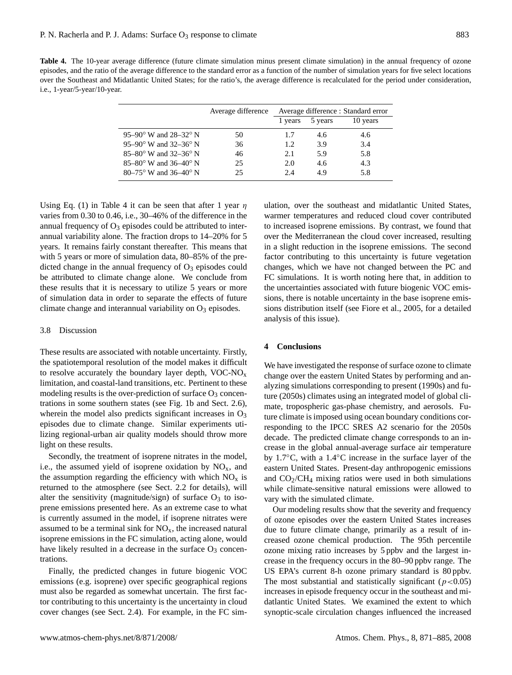**Table 4.** The 10-year average difference (future climate simulation minus present climate simulation) in the annual frequency of ozone episodes, and the ratio of the average difference to the standard error as a function of the number of simulation years for five select locations over the Southeast and Midatlantic United States; for the ratio's, the average difference is recalculated for the period under consideration, i.e., 1-year/5-year/10-year.

|                                                   | Average difference | Average difference : Standard error |                 |          |  |
|---------------------------------------------------|--------------------|-------------------------------------|-----------------|----------|--|
|                                                   |                    |                                     | 1 years 5 years | 10 years |  |
| 95–90 $\rm{^{\circ}$ W and 28–32 $\rm{^{\circ}$ N | 50                 | 1.7                                 | 4.6             | 4.6      |  |
| 95-90° W and 32-36° N                             | 36                 | 1.2.                                | 3.9             | 3.4      |  |
| 85-80° W and 32-36° N                             | 46                 | 2.1                                 | 5.9             | 5.8      |  |
| $85-80^{\circ}$ W and $36-40^{\circ}$ N           | 25                 | 2.0                                 | 4.6             | 4.3      |  |
| 80–75° W and 36–40° N                             | 25                 | 24                                  | 49              | 5.8      |  |

Using Eq. [\(1\)](#page-11-0) in Table 4 it can be seen that after 1 year  $\eta$ varies from 0.30 to 0.46, i.e., 30–46% of the difference in the annual frequency of  $O_3$  episodes could be attributed to interannual variability alone. The fraction drops to 14–20% for 5 years. It remains fairly constant thereafter. This means that with 5 years or more of simulation data, 80–85% of the predicted change in the annual frequency of  $O_3$  episodes could be attributed to climate change alone. We conclude from these results that it is necessary to utilize 5 years or more of simulation data in order to separate the effects of future climate change and interannual variability on  $O_3$  episodes.

## 3.8 Discussion

These results are associated with notable uncertainty. Firstly, the spatiotemporal resolution of the model makes it difficult to resolve accurately the boundary layer depth,  $VOC-NO<sub>x</sub>$ limitation, and coastal-land transitions, etc. Pertinent to these modeling results is the over-prediction of surface  $O_3$  concentrations in some southern states (see Fig. 1b and Sect. 2.6), wherein the model also predicts significant increases in  $O<sub>3</sub>$ episodes due to climate change. Similar experiments utilizing regional-urban air quality models should throw more light on these results.

Secondly, the treatment of isoprene nitrates in the model, i.e., the assumed yield of isoprene oxidation by  $NO<sub>x</sub>$ , and the assumption regarding the efficiency with which  $NO<sub>x</sub>$  is returned to the atmosphere (see Sect. 2.2 for details), will alter the sensitivity (magnitude/sign) of surface  $O_3$  to isoprene emissions presented here. As an extreme case to what is currently assumed in the model, if isoprene nitrates were assumed to be a terminal sink for  $NO<sub>x</sub>$ , the increased natural isoprene emissions in the FC simulation, acting alone, would have likely resulted in a decrease in the surface  $O_3$  concentrations.

Finally, the predicted changes in future biogenic VOC emissions (e.g. isoprene) over specific geographical regions must also be regarded as somewhat uncertain. The first factor contributing to this uncertainty is the uncertainty in cloud cover changes (see Sect. 2.4). For example, in the FC simulation, over the southeast and midatlantic United States, warmer temperatures and reduced cloud cover contributed to increased isoprene emissions. By contrast, we found that over the Mediterranean the cloud cover increased, resulting in a slight reduction in the isoprene emissions. The second factor contributing to this uncertainty is future vegetation changes, which we have not changed between the PC and FC simulations. It is worth noting here that, in addition to the uncertainties associated with future biogenic VOC emissions, there is notable uncertainty in the base isoprene emissions distribution itself (see [Fiore et al.,](#page-13-14) [2005,](#page-13-14) for a detailed analysis of this issue).

## **4 Conclusions**

We have investigated the response of surface ozone to climate change over the eastern United States by performing and analyzing simulations corresponding to present (1990s) and future (2050s) climates using an integrated model of global climate, tropospheric gas-phase chemistry, and aerosols. Future climate is imposed using ocean boundary conditions corresponding to the IPCC SRES A2 scenario for the 2050s decade. The predicted climate change corresponds to an increase in the global annual-average surface air temperature by 1.7◦C, with a 1.4◦C increase in the surface layer of the eastern United States. Present-day anthropogenic emissions and  $CO<sub>2</sub>/CH<sub>4</sub>$  mixing ratios were used in both simulations while climate-sensitive natural emissions were allowed to vary with the simulated climate.

Our modeling results show that the severity and frequency of ozone episodes over the eastern United States increases due to future climate change, primarily as a result of increased ozone chemical production. The 95th percentile ozone mixing ratio increases by 5 ppbv and the largest increase in the frequency occurs in the 80–90 ppbv range. The US EPA's current 8-h ozone primary standard is 80 ppbv. The most substantial and statistically significant ( $p < 0.05$ ) increases in episode frequency occur in the southeast and midatlantic United States. We examined the extent to which synoptic-scale circulation changes influenced the increased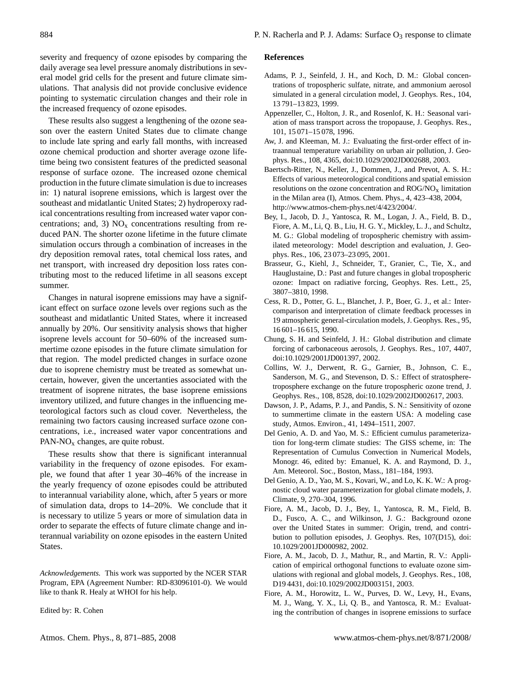severity and frequency of ozone episodes by comparing the daily average sea level pressure anomaly distributions in several model grid cells for the present and future climate simulations. That analysis did not provide conclusive evidence pointing to systematic circulation changes and their role in the increased frequency of ozone episodes.

These results also suggest a lengthening of the ozone season over the eastern United States due to climate change to include late spring and early fall months, with increased ozone chemical production and shorter average ozone lifetime being two consistent features of the predicted seasonal response of surface ozone. The increased ozone chemical production in the future climate simulation is due to increases in: 1) natural isoprene emissions, which is largest over the southeast and midatlantic United States; 2) hydroperoxy radical concentrations resulting from increased water vapor concentrations; and, 3)  $NO<sub>x</sub>$  concentrations resulting from reduced PAN. The shorter ozone lifetime in the future climate simulation occurs through a combination of increases in the dry deposition removal rates, total chemical loss rates, and net transport, with increased dry deposition loss rates contributing most to the reduced lifetime in all seasons except summer.

Changes in natural isoprene emissions may have a significant effect on surface ozone levels over regions such as the southeast and midatlantic United States, where it increased annually by 20%. Our sensitivity analysis shows that higher isoprene levels account for 50–60% of the increased summertime ozone episodes in the future climate simulation for that region. The model predicted changes in surface ozone due to isoprene chemistry must be treated as somewhat uncertain, however, given the uncertanties associated with the treatment of isoprene nitrates, the base isoprene emissions inventory utilized, and future changes in the influencing meteorological factors such as cloud cover. Nevertheless, the remaining two factors causing increased surface ozone concentrations, i.e., increased water vapor concentrations and  $PAN-NO<sub>x</sub>$  changes, are quite robust.

These results show that there is significant interannual variability in the frequency of ozone episodes. For example, we found that after 1 year 30–46% of the increase in the yearly frequency of ozone episodes could be attributed to interannual variability alone, which, after 5 years or more of simulation data, drops to 14–20%. We conclude that it is necessary to utilize 5 years or more of simulation data in order to separate the effects of future climate change and interannual variability on ozone episodes in the eastern United States.

*Acknowledgements.* This work was supported by the NCER STAR Program, EPA (Agreement Number: RD-83096101-0). We would like to thank R. Healy at WHOI for his help.

Edited by: R. Cohen

#### **References**

- <span id="page-13-5"></span>Adams, P. J., Seinfeld, J. H., and Koch, D. M.: Global concentrations of tropospheric sulfate, nitrate, and ammonium aerosol simulated in a general circulation model, J. Geophys. Res., 104, 13 791–13 823, 1999.
- <span id="page-13-7"></span>Appenzeller, C., Holton, J. R., and Rosenlof, K. H.: Seasonal variation of mass transport across the tropopause, J. Geophys. Res., 101, 15 071–15 078, 1996.
- <span id="page-13-2"></span>Aw, J. and Kleeman, M. J.: Evaluating the first-order effect of intraannual temperature variability on urban air pollution, J. Geophys. Res., 108, 4365, doi:10.1029/2002JD002688, 2003.
- <span id="page-13-3"></span>Baertsch-Ritter, N., Keller, J., Dommen, J., and Prevot, A. S. H.: Effects of various meteorological conditions and spatial emission resolutions on the ozone concentration and  $\rm{ROG/NO_X}$  limitation in the Milan area (I), Atmos. Chem. Phys., 4, 423–438, 2004, [http://www.atmos-chem-phys.net/4/423/2004/.](http://www.atmos-chem-phys.net/4/423/2004/)
- <span id="page-13-13"></span>Bey, I., Jacob, D. J., Yantosca, R. M., Logan, J. A., Field, B. D., Fiore, A. M., Li, Q. B., Liu, H. G. Y., Mickley, L. J., and Schultz, M. G.: Global modeling of tropospheric chemistry with assimilated meteorology: Model description and evaluation, J. Geophys. Res., 106, 23 073–23 095, 2001.
- <span id="page-13-0"></span>Brasseur, G., Kiehl, J., Schneider, T., Granier, C., Tie, X., and Hauglustaine, D.: Past and future changes in global tropospheric ozone: Impact on radiative forcing, Geophys. Res. Lett., 25, 3807–3810, 1998.
- <span id="page-13-10"></span>Cess, R. D., Potter, G. L., Blanchet, J. P., Boer, G. J., et al.: Intercomparison and interpretation of climate feedback processes in 19 atmospheric general-circulation models, J. Geophys. Res., 95, 16 601–16 615, 1990.
- <span id="page-13-6"></span>Chung, S. H. and Seinfeld, J. H.: Global distribution and climate forcing of carbonaceous aerosols, J. Geophys. Res., 107, 4407, doi:10.1029/2001JD001397, 2002.
- <span id="page-13-1"></span>Collins, W. J., Derwent, R. G., Garnier, B., Johnson, C. E., Sanderson, M. G., and Stevenson, D. S.: Effect of stratospheretroposphere exchange on the future tropospheric ozone trend, J. Geophys. Res., 108, 8528, doi:10.1029/2002JD002617, 2003.
- <span id="page-13-4"></span>Dawson, J. P., Adams, P. J., and Pandis, S. N.: Sensitivity of ozone to summertime climate in the eastern USA: A modeling case study, Atmos. Environ., 41, 1494–1511, 2007.
- <span id="page-13-8"></span>Del Genio, A. D. and Yao, M. S.: Efficient cumulus parameterization for long-term climate studies: The GISS scheme, in: The Representation of Cumulus Convection in Numerical Models, Monogr. 46, edited by: Emanuel, K. A. and Raymond, D. J., Am. Meteorol. Soc., Boston, Mass., 181–184, 1993.
- <span id="page-13-9"></span>Del Genio, A. D., Yao, M. S., Kovari, W., and Lo, K. K. W.: A prognostic cloud water parameterization for global climate models, J. Climate, 9, 270–304, 1996.
- <span id="page-13-11"></span>Fiore, A. M., Jacob, D. J., Bey, I., Yantosca, R. M., Field, B. D., Fusco, A. C., and Wilkinson, J. G.: Background ozone over the United States in summer: Origin, trend, and contribution to pollution episodes, J. Geophys. Res, 107(D15), doi: 10.1029/2001JD000982, 2002.
- <span id="page-13-12"></span>Fiore, A. M., Jacob, D. J., Mathur, R., and Martin, R. V.: Application of empirical orthogonal functions to evaluate ozone simulations with regional and global models, J. Geophys. Res., 108, D19 4431, doi:10.1029/2002JD003151, 2003.
- <span id="page-13-14"></span>Fiore, A. M., Horowitz, L. W., Purves, D. W., Levy, H., Evans, M. J., Wang, Y. X., Li, Q. B., and Yantosca, R. M.: Evaluating the contribution of changes in isoprene emissions to surface